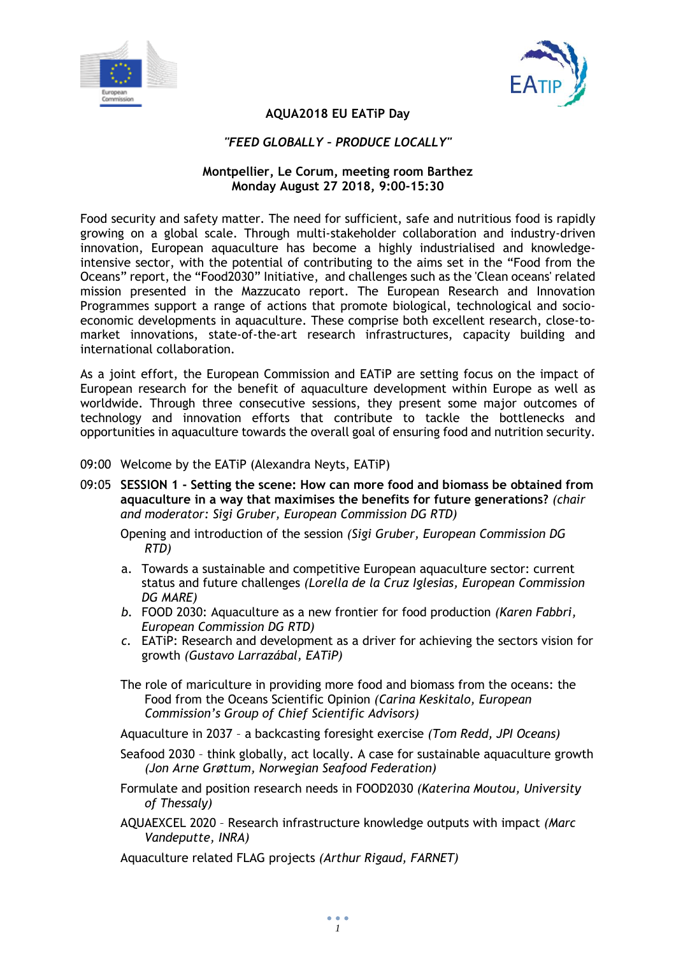



# **AQUA2018 EU EATiP Day**

#### *"FEED GLOBALLY – PRODUCE LOCALLY"*

### **Montpellier, Le Corum, meeting room Barthez Monday August 27 2018, 9:00-15:30**

Food security and safety matter. The need for sufficient, safe and nutritious food is rapidly growing on a global scale. Through multi-stakeholder collaboration and industry-driven innovation, European aquaculture has become a highly industrialised and knowledgeintensive sector, with the potential of contributing to the aims set in the "Food from the Oceans" report, the "Food2030" Initiative, and challenges such as the 'Clean oceans' related mission presented in the Mazzucato report. The European Research and Innovation Programmes support a range of actions that promote biological, technological and socioeconomic developments in aquaculture. These comprise both excellent research, close-tomarket innovations, state-of-the-art research infrastructures, capacity building and international collaboration.

As a joint effort, the European Commission and EATiP are setting focus on the impact of European research for the benefit of aquaculture development within Europe as well as worldwide. Through three consecutive sessions, they present some major outcomes of technology and innovation efforts that contribute to tackle the bottlenecks and opportunities in aquaculture towards the overall goal of ensuring food and nutrition security.

- 09:00 Welcome by the EATiP (Alexandra Neyts, EATiP)
- 09:05 **SESSION 1 - Setting the scene: How can more food and biomass be obtained from aquaculture in a way that maximises the benefits for future generations?** *(chair and moderator: Sigi Gruber, European Commission DG RTD)*

Opening and introduction of the session *(Sigi Gruber, European Commission DG RTD)*

- a. Towards a sustainable and competitive European aquaculture sector: current status and future challenges *(Lorella de la Cruz Iglesias, European Commission DG MARE)*
- *b.* FOOD 2030: Aquaculture as a new frontier for food production *(Karen Fabbri, European Commission DG RTD)*
- *c.* EATiP: Research and development as a driver for achieving the sectors vision for growth *(Gustavo Larrazábal, EATiP)*

The role of mariculture in providing more food and biomass from the oceans: the Food from the Oceans Scientific Opinion *(Carina Keskitalo, European Commission's Group of Chief Scientific Advisors)* 

Aquaculture in 2037 – a backcasting foresight exercise *(Tom Redd, JPI Oceans)*

- Seafood 2030 think globally, act locally. A case for sustainable aquaculture growth *(Jon Arne Grøttum, Norwegian Seafood Federation)*
- Formulate and position research needs in FOOD2030 *(Katerina Moutou, University of Thessaly)*
- AQUAEXCEL 2020 Research infrastructure knowledge outputs with impact *(Marc Vandeputte, INRA)*

Aquaculture related FLAG projects *(Arthur Rigaud, FARNET)*